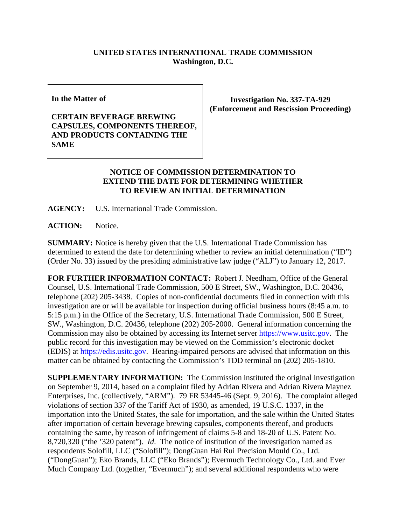## **UNITED STATES INTERNATIONAL TRADE COMMISSION Washington, D.C.**

**In the Matter of**

## **CERTAIN BEVERAGE BREWING CAPSULES, COMPONENTS THEREOF, AND PRODUCTS CONTAINING THE SAME**

**Investigation No. 337-TA-929 (Enforcement and Rescission Proceeding)**

## **NOTICE OF COMMISSION DETERMINATION TO EXTEND THE DATE FOR DETERMINING WHETHER TO REVIEW AN INITIAL DETERMINATION**

**AGENCY:** U.S. International Trade Commission.

ACTION: Notice.

**SUMMARY:** Notice is hereby given that the U.S. International Trade Commission has determined to extend the date for determining whether to review an initial determination ("ID") (Order No. 33) issued by the presiding administrative law judge ("ALJ") to January 12, 2017.

**FOR FURTHER INFORMATION CONTACT:** Robert J. Needham, Office of the General Counsel, U.S. International Trade Commission, 500 E Street, SW., Washington, D.C. 20436, telephone (202) 205-3438. Copies of non-confidential documents filed in connection with this investigation are or will be available for inspection during official business hours (8:45 a.m. to 5:15 p.m.) in the Office of the Secretary, U.S. International Trade Commission, 500 E Street, SW., Washington, D.C. 20436, telephone (202) 205-2000. General information concerning the Commission may also be obtained by accessing its Internet server [https://www.usitc.gov.](https://www.usitc.gov/) The public record for this investigation may be viewed on the Commission's electronic docket (EDIS) at [https://edis.usitc.gov.](https://edis.usitc.gov/) Hearing-impaired persons are advised that information on this matter can be obtained by contacting the Commission's TDD terminal on (202) 205-1810.

**SUPPLEMENTARY INFORMATION:** The Commission instituted the original investigation on September 9, 2014, based on a complaint filed by Adrian Rivera and Adrian Rivera Maynez Enterprises, Inc. (collectively, "ARM"). 79 FR 53445-46 (Sept. 9, 2016). The complaint alleged violations of section 337 of the Tariff Act of 1930, as amended, 19 U.S.C. 1337, in the importation into the United States, the sale for importation, and the sale within the United States after importation of certain beverage brewing capsules, components thereof, and products containing the same, by reason of infringement of claims 5-8 and 18-20 of U.S. Patent No. 8,720,320 ("the '320 patent"). *Id*. The notice of institution of the investigation named as respondents Solofill, LLC ("Solofill"); DongGuan Hai Rui Precision Mould Co., Ltd. ("DongGuan"); Eko Brands, LLC ("Eko Brands"); Evermuch Technology Co., Ltd. and Ever Much Company Ltd. (together, "Evermuch"); and several additional respondents who were